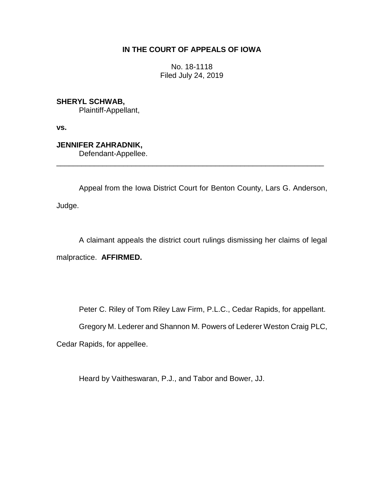# **IN THE COURT OF APPEALS OF IOWA**

No. 18-1118 Filed July 24, 2019

**SHERYL SCHWAB,** Plaintiff-Appellant,

**vs.**

**JENNIFER ZAHRADNIK,**

Defendant-Appellee. \_\_\_\_\_\_\_\_\_\_\_\_\_\_\_\_\_\_\_\_\_\_\_\_\_\_\_\_\_\_\_\_\_\_\_\_\_\_\_\_\_\_\_\_\_\_\_\_\_\_\_\_\_\_\_\_\_\_\_\_\_\_\_\_

Appeal from the Iowa District Court for Benton County, Lars G. Anderson,

Judge.

A claimant appeals the district court rulings dismissing her claims of legal malpractice. **AFFIRMED.**

Peter C. Riley of Tom Riley Law Firm, P.L.C., Cedar Rapids, for appellant.

Gregory M. Lederer and Shannon M. Powers of Lederer Weston Craig PLC,

Cedar Rapids, for appellee.

Heard by Vaitheswaran, P.J., and Tabor and Bower, JJ.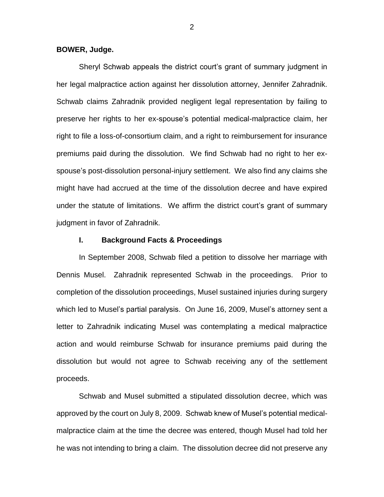### **BOWER, Judge.**

Sheryl Schwab appeals the district court's grant of summary judgment in her legal malpractice action against her dissolution attorney, Jennifer Zahradnik. Schwab claims Zahradnik provided negligent legal representation by failing to preserve her rights to her ex-spouse's potential medical-malpractice claim, her right to file a loss-of-consortium claim, and a right to reimbursement for insurance premiums paid during the dissolution. We find Schwab had no right to her exspouse's post-dissolution personal-injury settlement. We also find any claims she might have had accrued at the time of the dissolution decree and have expired under the statute of limitations. We affirm the district court's grant of summary judgment in favor of Zahradnik.

### **I. Background Facts & Proceedings**

In September 2008, Schwab filed a petition to dissolve her marriage with Dennis Musel. Zahradnik represented Schwab in the proceedings. Prior to completion of the dissolution proceedings, Musel sustained injuries during surgery which led to Musel's partial paralysis. On June 16, 2009, Musel's attorney sent a letter to Zahradnik indicating Musel was contemplating a medical malpractice action and would reimburse Schwab for insurance premiums paid during the dissolution but would not agree to Schwab receiving any of the settlement proceeds.

Schwab and Musel submitted a stipulated dissolution decree, which was approved by the court on July 8, 2009. Schwab knew of Musel's potential medicalmalpractice claim at the time the decree was entered, though Musel had told her he was not intending to bring a claim. The dissolution decree did not preserve any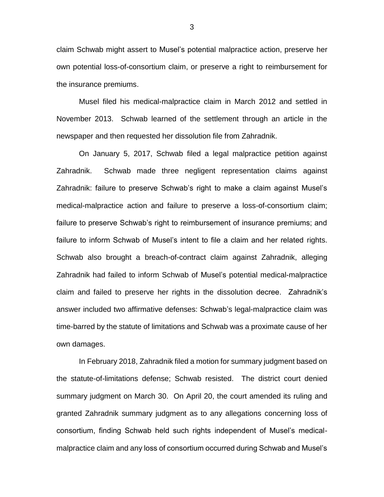claim Schwab might assert to Musel's potential malpractice action, preserve her own potential loss-of-consortium claim, or preserve a right to reimbursement for the insurance premiums.

Musel filed his medical-malpractice claim in March 2012 and settled in November 2013. Schwab learned of the settlement through an article in the newspaper and then requested her dissolution file from Zahradnik.

On January 5, 2017, Schwab filed a legal malpractice petition against Zahradnik. Schwab made three negligent representation claims against Zahradnik: failure to preserve Schwab's right to make a claim against Musel's medical-malpractice action and failure to preserve a loss-of-consortium claim; failure to preserve Schwab's right to reimbursement of insurance premiums; and failure to inform Schwab of Musel's intent to file a claim and her related rights. Schwab also brought a breach-of-contract claim against Zahradnik, alleging Zahradnik had failed to inform Schwab of Musel's potential medical-malpractice claim and failed to preserve her rights in the dissolution decree. Zahradnik's answer included two affirmative defenses: Schwab's legal-malpractice claim was time-barred by the statute of limitations and Schwab was a proximate cause of her own damages.

In February 2018, Zahradnik filed a motion for summary judgment based on the statute-of-limitations defense; Schwab resisted. The district court denied summary judgment on March 30. On April 20, the court amended its ruling and granted Zahradnik summary judgment as to any allegations concerning loss of consortium, finding Schwab held such rights independent of Musel's medicalmalpractice claim and any loss of consortium occurred during Schwab and Musel's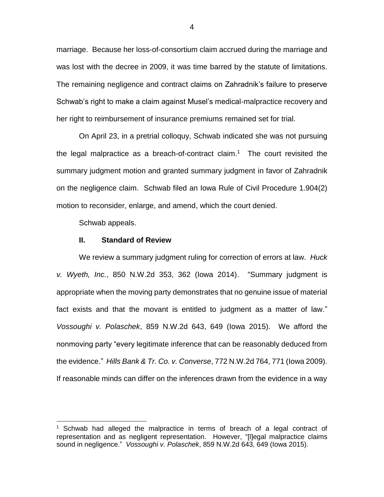marriage. Because her loss-of-consortium claim accrued during the marriage and was lost with the decree in 2009, it was time barred by the statute of limitations. The remaining negligence and contract claims on Zahradnik's failure to preserve Schwab's right to make a claim against Musel's medical-malpractice recovery and her right to reimbursement of insurance premiums remained set for trial.

On April 23, in a pretrial colloquy, Schwab indicated she was not pursuing the legal malpractice as a breach-of-contract claim.<sup>1</sup> The court revisited the summary judgment motion and granted summary judgment in favor of Zahradnik on the negligence claim. Schwab filed an Iowa Rule of Civil Procedure 1.904(2) motion to reconsider, enlarge, and amend, which the court denied.

Schwab appeals.

 $\overline{a}$ 

#### **II. Standard of Review**

We review a summary judgment ruling for correction of errors at law. *Huck v. Wyeth, Inc.*, 850 N.W.2d 353, 362 (Iowa 2014). "Summary judgment is appropriate when the moving party demonstrates that no genuine issue of material fact exists and that the movant is entitled to judgment as a matter of law." *Vossoughi v. Polaschek*, 859 N.W.2d 643, 649 (Iowa 2015). We afford the nonmoving party "every legitimate inference that can be reasonably deduced from the evidence." *Hills Bank & Tr. Co. v. Converse*, 772 N.W.2d 764, 771 (Iowa 2009). If reasonable minds can differ on the inferences drawn from the evidence in a way

 $1$  Schwab had alleged the malpractice in terms of breach of a legal contract of representation and as negligent representation. However, "[l]egal malpractice claims sound in negligence." *Vossoughi v. Polaschek*, 859 N.W.2d 643, 649 (Iowa 2015).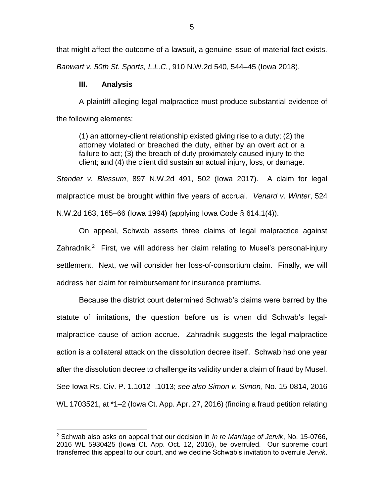that might affect the outcome of a lawsuit, a genuine issue of material fact exists.

*Banwart v. 50th St. Sports, L.L.C.*, 910 N.W.2d 540, 544–45 (Iowa 2018).

# **III. Analysis**

 $\overline{a}$ 

A plaintiff alleging legal malpractice must produce substantial evidence of the following elements:

(1) an attorney-client relationship existed giving rise to a duty; (2) the attorney violated or breached the duty, either by an overt act or a failure to act; (3) the breach of duty proximately caused injury to the client; and (4) the client did sustain an actual injury, loss, or damage.

*Stender v. Blessum*, 897 N.W.2d 491, 502 (Iowa 2017). A claim for legal malpractice must be brought within five years of accrual. *Venard v. Winter*, 524 N.W.2d 163, 165–66 (Iowa 1994) (applying Iowa Code § 614.1(4)).

On appeal, Schwab asserts three claims of legal malpractice against Zahradnik.<sup>2</sup> First, we will address her claim relating to Musel's personal-injury settlement. Next, we will consider her loss-of-consortium claim. Finally, we will address her claim for reimbursement for insurance premiums.

Because the district court determined Schwab's claims were barred by the statute of limitations, the question before us is when did Schwab's legalmalpractice cause of action accrue. Zahradnik suggests the legal-malpractice action is a collateral attack on the dissolution decree itself. Schwab had one year after the dissolution decree to challenge its validity under a claim of fraud by Musel. *See* Iowa Rs. Civ. P. 1.1012–.1013; *see also Simon v. Simon*, No. 15-0814, 2016 WL 1703521, at \*1–2 (Iowa Ct. App. Apr. 27, 2016) (finding a fraud petition relating

<sup>2</sup> Schwab also asks on appeal that our decision in *In re Marriage of Jervik*, No. 15-0766, 2016 WL 5930425 (Iowa Ct. App. Oct. 12, 2016), be overruled. Our supreme court transferred this appeal to our court, and we decline Schwab's invitation to overrule *Jervik*.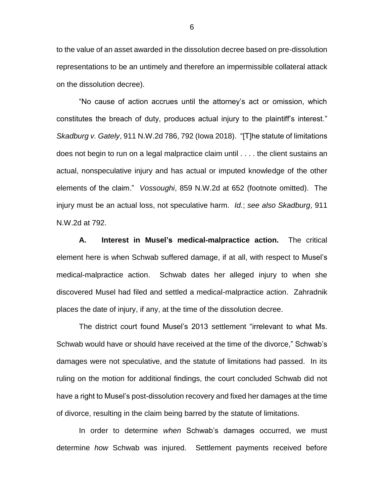to the value of an asset awarded in the dissolution decree based on pre-dissolution representations to be an untimely and therefore an impermissible collateral attack on the dissolution decree).

"No cause of action accrues until the attorney's act or omission, which constitutes the breach of duty, produces actual injury to the plaintiff's interest." *Skadburg v. Gately*, 911 N.W.2d 786, 792 (Iowa 2018). "[T]he statute of limitations does not begin to run on a legal malpractice claim until . . . . the client sustains an actual, nonspeculative injury and has actual or imputed knowledge of the other elements of the claim." *Vossoughi*, 859 N.W.2d at 652 (footnote omitted). The injury must be an actual loss, not speculative harm. *Id.*; *see also Skadburg*, 911 N.W.2d at 792.

**A. Interest in Musel's medical-malpractice action.** The critical element here is when Schwab suffered damage, if at all, with respect to Musel's medical-malpractice action. Schwab dates her alleged injury to when she discovered Musel had filed and settled a medical-malpractice action. Zahradnik places the date of injury, if any, at the time of the dissolution decree.

The district court found Musel's 2013 settlement "irrelevant to what Ms. Schwab would have or should have received at the time of the divorce," Schwab's damages were not speculative, and the statute of limitations had passed. In its ruling on the motion for additional findings, the court concluded Schwab did not have a right to Musel's post-dissolution recovery and fixed her damages at the time of divorce, resulting in the claim being barred by the statute of limitations.

In order to determine *when* Schwab's damages occurred, we must determine *how* Schwab was injured. Settlement payments received before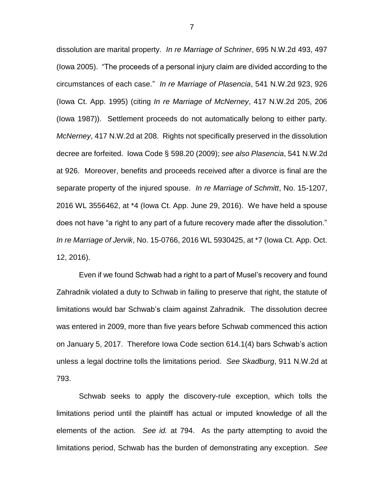dissolution are marital property. *In re Marriage of Schriner*, 695 N.W.2d 493, 497 (Iowa 2005). "The proceeds of a personal injury claim are divided according to the circumstances of each case." *In re Marriage of Plasencia*, 541 N.W.2d 923, 926 (Iowa Ct. App. 1995) (citing *In re Marriage of McNerney*, 417 N.W.2d 205, 206 (Iowa 1987)). Settlement proceeds do not automatically belong to either party. *McNerney*, 417 N.W.2d at 208. Rights not specifically preserved in the dissolution decree are forfeited. Iowa Code § 598.20 (2009); *see also Plasencia*, 541 N.W.2d at 926. Moreover, benefits and proceeds received after a divorce is final are the separate property of the injured spouse. *In re Marriage of Schmitt*, No. 15-1207, 2016 WL 3556462, at \*4 (Iowa Ct. App. June 29, 2016). We have held a spouse does not have "a right to any part of a future recovery made after the dissolution." *In re Marriage of Jervik*, No. 15-0766, 2016 WL 5930425, at \*7 (Iowa Ct. App. Oct. 12, 2016).

Even if we found Schwab had a right to a part of Musel's recovery and found Zahradnik violated a duty to Schwab in failing to preserve that right, the statute of limitations would bar Schwab's claim against Zahradnik. The dissolution decree was entered in 2009, more than five years before Schwab commenced this action on January 5, 2017. Therefore Iowa Code section 614.1(4) bars Schwab's action unless a legal doctrine tolls the limitations period. *See Skadburg*, 911 N.W.2d at 793.

Schwab seeks to apply the discovery-rule exception, which tolls the limitations period until the plaintiff has actual or imputed knowledge of all the elements of the action. *See id.* at 794. As the party attempting to avoid the limitations period, Schwab has the burden of demonstrating any exception. *See*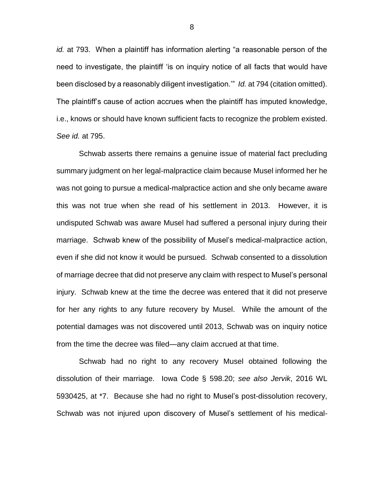*id.* at 793. When a plaintiff has information alerting "a reasonable person of the need to investigate, the plaintiff 'is on inquiry notice of all facts that would have been disclosed by a reasonably diligent investigation.'" *Id.* at 794 (citation omitted). The plaintiff's cause of action accrues when the plaintiff has imputed knowledge, i.e., knows or should have known sufficient facts to recognize the problem existed. *See id.* at 795.

Schwab asserts there remains a genuine issue of material fact precluding summary judgment on her legal-malpractice claim because Musel informed her he was not going to pursue a medical-malpractice action and she only became aware this was not true when she read of his settlement in 2013. However, it is undisputed Schwab was aware Musel had suffered a personal injury during their marriage. Schwab knew of the possibility of Musel's medical-malpractice action, even if she did not know it would be pursued. Schwab consented to a dissolution of marriage decree that did not preserve any claim with respect to Musel's personal injury. Schwab knew at the time the decree was entered that it did not preserve for her any rights to any future recovery by Musel. While the amount of the potential damages was not discovered until 2013, Schwab was on inquiry notice from the time the decree was filed—any claim accrued at that time.

Schwab had no right to any recovery Musel obtained following the dissolution of their marriage. Iowa Code § 598.20; *see also Jervik*, 2016 WL 5930425, at \*7. Because she had no right to Musel's post-dissolution recovery, Schwab was not injured upon discovery of Musel's settlement of his medical-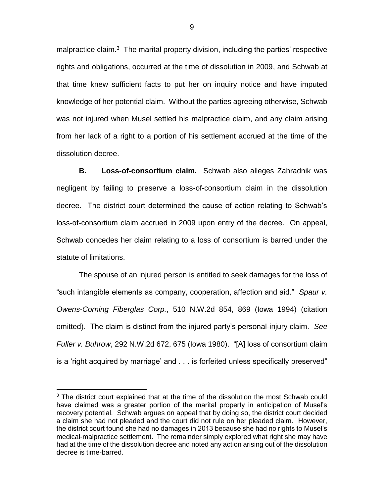malpractice claim.<sup>3</sup> The marital property division, including the parties' respective rights and obligations, occurred at the time of dissolution in 2009, and Schwab at that time knew sufficient facts to put her on inquiry notice and have imputed knowledge of her potential claim. Without the parties agreeing otherwise, Schwab was not injured when Musel settled his malpractice claim, and any claim arising from her lack of a right to a portion of his settlement accrued at the time of the dissolution decree.

**B. Loss-of-consortium claim.** Schwab also alleges Zahradnik was negligent by failing to preserve a loss-of-consortium claim in the dissolution decree. The district court determined the cause of action relating to Schwab's loss-of-consortium claim accrued in 2009 upon entry of the decree. On appeal, Schwab concedes her claim relating to a loss of consortium is barred under the statute of limitations.

The spouse of an injured person is entitled to seek damages for the loss of "such intangible elements as company, cooperation, affection and aid." *Spaur v. Owens-Corning Fiberglas Corp.*, 510 N.W.2d 854, 869 (Iowa 1994) (citation omitted). The claim is distinct from the injured party's personal-injury claim. *See Fuller v. Buhrow*, 292 N.W.2d 672, 675 (Iowa 1980). "[A] loss of consortium claim is a 'right acquired by marriage' and . . . is forfeited unless specifically preserved"

 $\overline{a}$ 

 $3$  The district court explained that at the time of the dissolution the most Schwab could have claimed was a greater portion of the marital property in anticipation of Musel's recovery potential. Schwab argues on appeal that by doing so, the district court decided a claim she had not pleaded and the court did not rule on her pleaded claim. However, the district court found she had no damages in 2013 because she had no rights to Musel's medical-malpractice settlement. The remainder simply explored what right she may have had at the time of the dissolution decree and noted any action arising out of the dissolution decree is time-barred.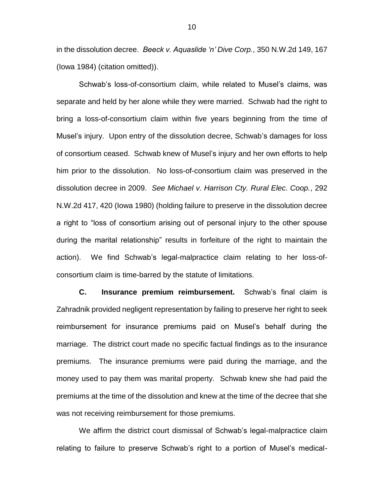in the dissolution decree. *Beeck v. Aquaslide 'n' Dive Corp.*, 350 N.W.2d 149, 167 (Iowa 1984) (citation omitted)).

Schwab's loss-of-consortium claim, while related to Musel's claims, was separate and held by her alone while they were married. Schwab had the right to bring a loss-of-consortium claim within five years beginning from the time of Musel's injury. Upon entry of the dissolution decree, Schwab's damages for loss of consortium ceased. Schwab knew of Musel's injury and her own efforts to help him prior to the dissolution. No loss-of-consortium claim was preserved in the dissolution decree in 2009. *See Michael v. Harrison Cty. Rural Elec. Coop.*, 292 N.W.2d 417, 420 (Iowa 1980) (holding failure to preserve in the dissolution decree a right to "loss of consortium arising out of personal injury to the other spouse during the marital relationship" results in forfeiture of the right to maintain the action). We find Schwab's legal-malpractice claim relating to her loss-ofconsortium claim is time-barred by the statute of limitations.

**C. Insurance premium reimbursement.** Schwab's final claim is Zahradnik provided negligent representation by failing to preserve her right to seek reimbursement for insurance premiums paid on Musel's behalf during the marriage. The district court made no specific factual findings as to the insurance premiums. The insurance premiums were paid during the marriage, and the money used to pay them was marital property. Schwab knew she had paid the premiums at the time of the dissolution and knew at the time of the decree that she was not receiving reimbursement for those premiums.

We affirm the district court dismissal of Schwab's legal-malpractice claim relating to failure to preserve Schwab's right to a portion of Musel's medical